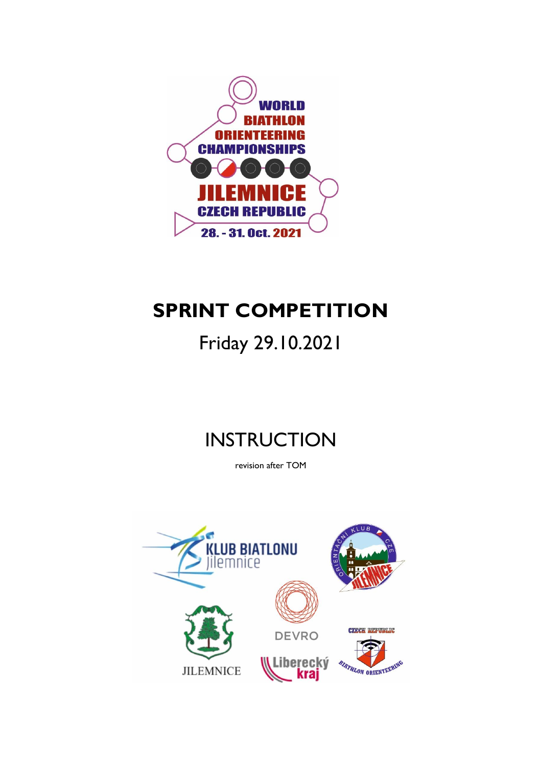

# **SPRINT COMPETITION**

# Friday 29.10.2021

# **INSTRUCTION**

revision after TOM

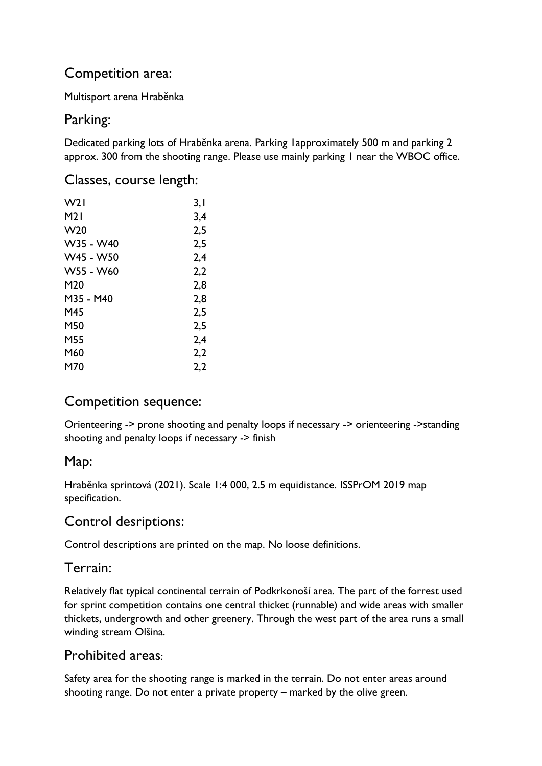## Competition area:

Multisport arena Hraběnka

## Parking:

Dedicated parking lots of Hraběnka arena. Parking 1approximately 500 m and parking 2 approx. 300 from the shooting range. Please use mainly parking 1 near the WBOC office.

#### Classes, course length:

| W <sub>2</sub>  | 3,1 |
|-----------------|-----|
| M21             | 3,4 |
| W <sub>20</sub> | 2,5 |
| W35 - W40       | 2,5 |
| W45 - W50       | 2,4 |
| W55 - W60       | 2,2 |
| M <sub>20</sub> | 2,8 |
| M35 - M40       | 2,8 |
| M45             | 2,5 |
| M50             | 2,5 |
| M55             | 2,4 |
| M60             | 2,2 |
| M70             | 2,2 |

## Competition sequence:

Orienteering -> prone shooting and penalty loops if necessary -> orienteering ->standing shooting and penalty loops if necessary -> finish

## Map:

Hraběnka sprintová (2021). Scale 1:4 000, 2.5 m equidistance. ISSPrOM 2019 map specification.

## Control desriptions:

Control descriptions are printed on the map. No loose definitions.

## Terrain:

Relatively flat typical continental terrain of Podkrkonoší area. The part of the forrest used for sprint competition contains one central thicket (runnable) and wide areas with smaller thickets, undergrowth and other greenery. Through the west part of the area runs a small winding stream Olšina.

#### Prohibited areas:

Safety area for the shooting range is marked in the terrain. Do not enter areas around shooting range. Do not enter a private property – marked by the olive green.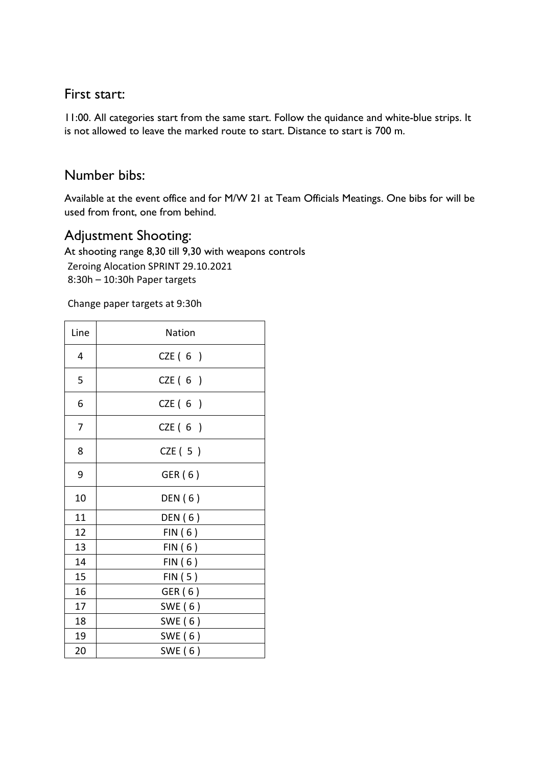#### First start:

11:00. All categories start from the same start. Follow the quidance and white-blue strips. It is not allowed to leave the marked route to start. Distance to start is 700 m.

#### Number bibs:

Available at the event office and for M/W 21 at Team Officials Meatings. One bibs for will be used from front, one from behind.

### Adjustment Shooting:

At shooting range 8,30 till 9,30 with weapons controls Zeroing Alocation SPRINT 29.10.2021 8:30h – 10:30h Paper targets

Change paper targets at 9:30h

| Line | Nation    |
|------|-----------|
| 4    | CZE $(6)$ |
| 5    | CZE $(6)$ |
| 6    | CZE(6)    |
| 7    | CZE $(6)$ |
| 8    | CZE(5)    |
| 9    | GER (6)   |
| 10   | DEN (6)   |
| 11   | DEN (6)   |
| 12   | FIN(6)    |
| 13   | FIN(6)    |
| 14   | FIN(6)    |
| 15   | FIN(5)    |
| 16   | GER (6)   |
| 17   | SWE (6)   |
| 18   | SWE (6)   |
| 19   | SWE $(6)$ |
| 20   | SWE $(6)$ |